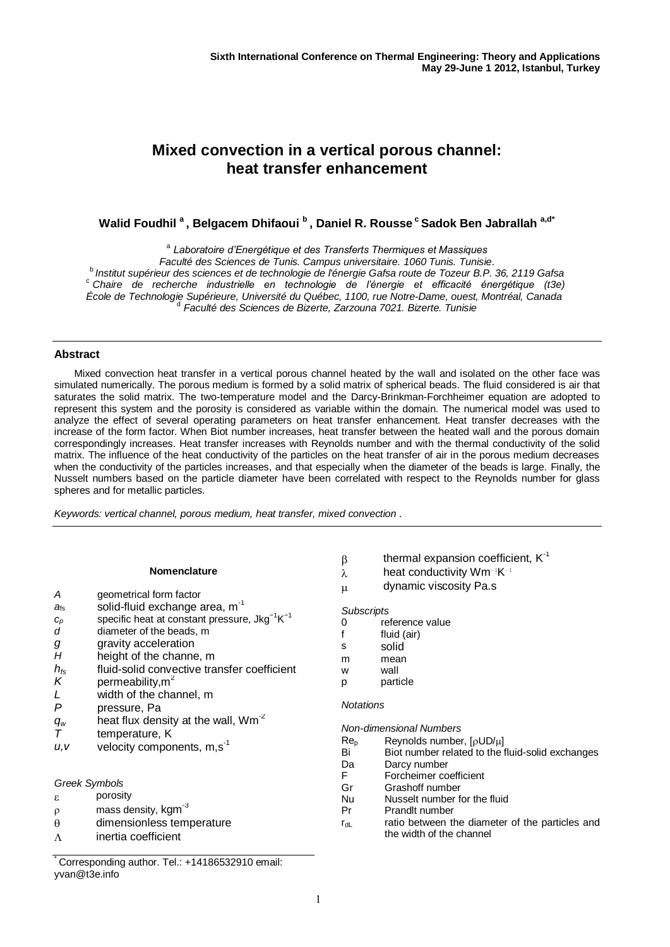# **Mixed convection in a vertical porous channel: heat transfer enhancement**

**Walid Foudhil <sup>a</sup>, Belgacem Dhifaoui <sup>b</sup>, Daniel R. Rousse <sup>c</sup>Sadok Ben Jabrallah a,d\***

a *Laboratoire d'Energétique et des Transferts Thermiques et Massiques Faculté des Sciences de Tunis. Campus universitaire. 1060 Tunis. Tunisie*. <sup>b</sup>*Institut supérieur des sciences et de technologie de l'énergie Gafsa route de Tozeur B.P. 36, 2119 Gafsa* <sup>c</sup> *Chaire de recherche industrielle en technologie de l'énergie et efficacité énergétique (t3e)* École de Technologie Supérieure, Université du Québec, 1100, rue Notre-Dame, ouest, Montréal, Canada<br>de Fonulté des Sciences de Pizerte, Zerzeune 7021, Pizerte, Tunisie *Faculté des Sciences de Bizerte, Zarzouna 7021. Bizerte. Tunisie*

# **Abstract**

Mixed convection heat transfer in a vertical porous channel heated by the wall and isolated on the other face was simulated numerically. The porous medium is formed by a solid matrix of spherical beads. The fluid considered is air that saturates the solid matrix. The two-temperature model and the Darcy-Brinkman-Forchheimer equation are adopted to represent this system and the porosity is considered as variable within the domain. The numerical model was used to analyze the effect of several operating parameters on heat transfer enhancement. Heat transfer decreases with the increase of the form factor. When Biot number increases, heat transfer between the heated wall and the porous domain correspondingly increases. Heat transfer increases with Reynolds number and with the thermal conductivity of the solid matrix. The influence of the heat conductivity of the particles on the heat transfer of air in the porous medium decreases when the conductivity of the particles increases, and that especially when the diameter of the beads is large. Finally, the Nusselt numbers based on the particle diameter have been correlated with respect to the Reynolds number for glass spheres and for metallic particles.

*Keywords: vertical channel, porous medium, heat transfer, mixed convection .*

#### **Nomenclature**

- *A* geometrical form factor
- $a<sub>fs</sub>$  solid-fluid exchange area,  $m<sup>-1</sup>$
- $c_p$  specific heat at constant pressure, Jkg<sup>-1</sup>K<sup>-1</sup>
- d diameter of the beads, m
- *g* gravity acceleration
- *H* height of the channe, m
- *hfs* fluid-solid convective transfer coefficient
- $K$  permeability.m<sup>2</sup>
- *L* width of the channel, m<br>*P* pressure Pa
- *P* pressure, Pa
- $q_w$  heat flux density at the wall, Wm<sup>-2</sup>
- *T* temperature, K
- u, *v* velocity components, m,s<sup>-1</sup>

# *Greek Symbols*

- $\epsilon$  porosity
- $\rho$  mass density, kgm $^{-3}$
- dimensionless temperature
- $\Lambda$  inertia coefficient

Corresponding author. Tel.: +14186532910 email: yvan@t3e.info

- $\beta$  thermal expansion coefficient,  $K^{-1}$
- λ heat conductivity Wm<sup>-1</sup>K<sup>-1</sup>
- $\mu$  dynamic viscosity Pa.s

# *Subscripts*

- 0 reference value
- f fluid (air)
- s solid
- m mean
- w wall
- p particle

# *Notations*

*Non-dimensional Numbers*

- $Re_p$  Reynolds number,  $\left[\rho U D/\mu\right]$
- Bi Biot number related to the fluid-solid exchanges
- Da Darcy number
- F Forcheimer coefficient<br>Gr Grashoff number
- Grashoff number
- Nu Nusselt number for the fluid
- Pr Prandlt number
- $r_{\text{dl}}$  ratio between the diameter of the particles and the width of the channel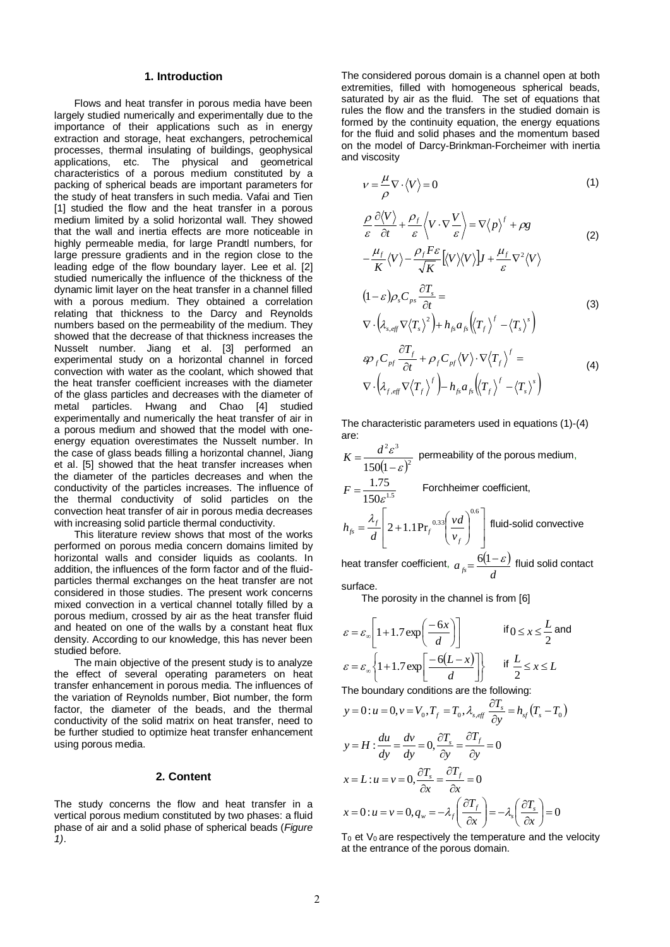#### **1. Introduction**

Flows and heat transfer in porous media have been largely studied numerically and experimentally due to the importance of their applications such as in energy extraction and storage, heat exchangers, petrochemical processes, thermal insulating of buildings, geophysical applications, etc. The physical and geometrical characteristics of a porous medium constituted by a packing of spherical beads are important parameters for the study of heat transfers in such media. Vafai and Tien [1] studied the flow and the heat transfer in a porous medium limited by a solid horizontal wall. They showed that the wall and inertia effects are more noticeable in highly permeable media, for large Prandtl numbers, for large pressure gradients and in the region close to the leading edge of the flow boundary layer. Lee et al. [2] studied numerically the influence of the thickness of the dynamic limit layer on the heat transfer in a channel filled with a porous medium. They obtained a correlation relating that thickness to the Darcy and Reynolds numbers based on the permeability of the medium. They showed that the decrease of that thickness increases the Nusselt number. Jiang et al. [3] performed an experimental study on a horizontal channel in forced convection with water as the coolant, which showed that the heat transfer coefficient increases with the diameter of the glass particles and decreases with the diameter of metal particles. Hwang and Chao [4] studied experimentally and numerically the heat transfer of air in a porous medium and showed that the model with oneenergy equation overestimates the Nusselt number. In the case of glass beads filling a horizontal channel, Jiang et al. [5] showed that the heat transfer increases when the diameter of the particles decreases and when the conductivity of the particles increases. The influence of the thermal conductivity of solid particles on the convection heat transfer of air in porous media decreases with increasing solid particle thermal conductivity.

This literature review shows that most of the works performed on porous media concern domains limited by horizontal walls and consider liquids as coolants. In addition, the influences of the form factor and of the fluidparticles thermal exchanges on the heat transfer are not considered in those studies. The present work concerns mixed convection in a vertical channel totally filled by a porous medium, crossed by air as the heat transfer fluid and heated on one of the walls by a constant heat flux density. According to our knowledge, this has never been studied before.

The main objective of the present study is to analyze the effect of several operating parameters on heat transfer enhancement in porous media. The influences of the variation of Reynolds number, Biot number, the form factor, the diameter of the beads, and the thermal conductivity of the solid matrix on heat transfer, need to be further studied to optimize heat transfer enhancement using porous media.

#### **2. Content**

The study concerns the flow and heat transfer in a vertical porous medium constituted by two phases: a fluid phase of air and a solid phase of spherical beads (*Figure 1)*.

The considered porous domain is a channel open at both extremities, filled with homogeneous spherical beads, saturated by air as the fluid. The set of equations that rules the flow and the transfers in the studied domain is formed by the continuity equation, the energy equations for the fluid and solid phases and the momentum based on the model of Darcy-Brinkman-Forcheimer with inertia and viscosity

$$
v = \frac{\mu}{\rho} \nabla \cdot \langle V \rangle = 0 \tag{1}
$$

$$
\frac{\rho}{\varepsilon} \frac{\partial \langle V \rangle}{\partial t} + \frac{\rho_f}{\varepsilon} \langle V \cdot \nabla \frac{V}{\varepsilon} \rangle = \nabla \langle p \rangle^f + \rho g
$$
\n
$$
-\frac{\mu_f}{K} \langle V \rangle - \frac{\rho_f F \varepsilon}{\sqrt{K}} [\langle V \rangle \langle V \rangle] J + \frac{\mu_f}{\varepsilon} \nabla^2 \langle V \rangle
$$
\n(2)

$$
(1 - \varepsilon)\rho_s C_{\rho_s} \frac{\partial T_s}{\partial t} =
$$
  
 
$$
\nabla \cdot \left(\lambda_{s, eff} \nabla \langle T_s \rangle^2\right) + h_{fs} a_{fs} \left(\langle T_f \rangle^f - \langle T_s \rangle^s\right)
$$
 (3)

$$
\varphi_{f}C_{pf} \frac{\partial T_{f}}{\partial t} + \rho_{f}C_{pf} \langle V \rangle \cdot \nabla \langle T_{f} \rangle^{f} =
$$
\n
$$
\nabla \cdot \left(\lambda_{f, eff} \nabla \langle T_{f} \rangle^{f}\right) - h_{fs} a_{fs} \left(\langle T_{f} \rangle^{f} - \langle T_{s} \rangle^{s}\right)
$$
\n(4)

The characteristic parameters used in equations (1)-(4) are:

 $(1-\varepsilon)^2$  $2^{3}$  $150(1-\varepsilon$ ε  $\overline{a}$  $K = \frac{d^2 \varepsilon^3}{\sqrt{d^2 + 4}}$  permeability of the porous medium,  $150\varepsilon^{1.5}$ 1.75  $F = \frac{1.75}{150 \varepsilon^{1.5}}$  Forchheimer coefficient, J  $\overline{\phantom{a}}$  $\rfloor$  $\overline{\phantom{a}}$  $\mathbf{r}$  $\mathsf{L}$ L  $\mathbb{L}$  $\overline{\phantom{a}}$ Ι  $\setminus$  $\overline{\phantom{a}}$  $\backslash$ ſ  $=\frac{y}{\cdot}$  2+ 0.6  $2+1.1\Pr_{t}^{0.33}$ *f*  $f_s = \frac{\lambda_f}{d} \left( 2 + 1.1 \text{Pr}_f \frac{0.33}{v} \right) \frac{v}{v}$ *vd d*  $h_{fs} = \frac{\lambda_f}{I} \left[ 2 + 1.1 \text{Pr}_f^{-0.33} \right] \frac{v d}{I}$  fluid-solid convective heat transfer coefficient,  $a_{\epsilon} = \frac{6(1-\epsilon)}{2}$  $a_{fs} = \frac{6(1-\varepsilon)}{d}$  fluid solid contact

surface.

The porosity in the channel is from [6]

$$
\varepsilon = \varepsilon_{\infty} \left[ 1 + 1.7 \exp\left(\frac{-6x}{d}\right) \right] \qquad \text{if } 0 \le x \le \frac{L}{2} \text{ and}
$$
\n
$$
\varepsilon = \varepsilon_{\infty} \left\{ 1 + 1.7 \exp\left[\frac{-6(L - x)}{d}\right] \right\} \qquad \text{if } \frac{L}{2} \le x \le L
$$

The boundary conditions are the following:

$$
y = 0: u = 0, v = V_0, T_f = T_0, \lambda_{s, eff} \frac{\partial T_s}{\partial y} = h_{sf}(T_s - T_0)
$$
  
\n
$$
y = H : \frac{du}{dy} = \frac{dv}{dy} = 0, \frac{\partial T_s}{\partial y} = \frac{\partial T_f}{\partial y} = 0
$$
  
\n
$$
x = L: u = v = 0, \frac{\partial T_s}{\partial x} = \frac{\partial T_f}{\partial x} = 0
$$
  
\n
$$
x = 0: u = v = 0, q_w = -\lambda_f \left(\frac{\partial T_f}{\partial x}\right) = -\lambda_s \left(\frac{\partial T_s}{\partial x}\right) = 0
$$

 $T_0$  et  $V_0$  are respectively the temperature and the velocity at the entrance of the porous domain.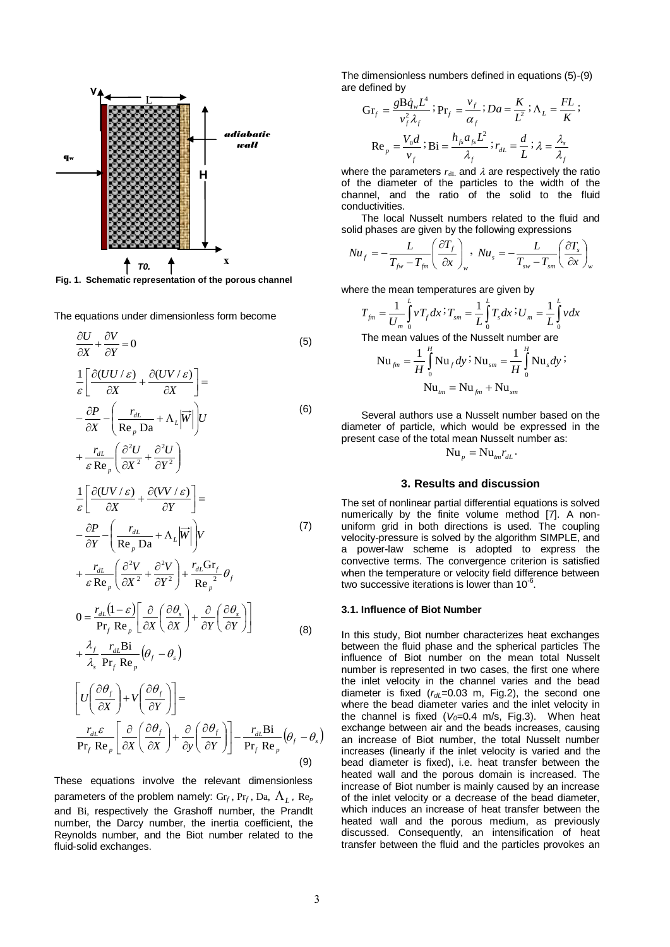

**Fig. 1. Schematic representation of the porous channel** *U0*

The equations under dimensionless form become

$$
\frac{\partial U}{\partial X} + \frac{\partial V}{\partial Y} = 0
$$
\n(5)  
\n
$$
\frac{1}{\varepsilon} \left[ \frac{\partial (UU/\varepsilon)}{\partial X} + \frac{\partial (UV/\varepsilon)}{\partial X} \right] =
$$
\n
$$
-\frac{\partial P}{\partial X} - \left( \frac{r_{dL}}{\text{Re}_p \text{Da}} + \Lambda_L |\overrightarrow{W}| \right) U
$$
\n
$$
+\frac{r_{dL}}{\varepsilon \text{Re}_p} \left( \frac{\partial^2 U}{\partial X^2} + \frac{\partial^2 U}{\partial Y^2} \right)
$$
\n
$$
\frac{1}{\varepsilon} \left[ \frac{\partial (UV/\varepsilon)}{\partial X} + \frac{\partial (VV/\varepsilon)}{\partial Y} \right] =
$$
\n
$$
-\frac{\partial P}{\partial Y} - \left( \frac{r_{dL}}{\text{Re}_p \text{Da}} + \Lambda_L |\overrightarrow{W}| \right) V
$$
\n(7)

$$
+\frac{r_{dL}}{\varepsilon \operatorname{Re}_p} \left( \frac{\partial^2 V}{\partial X^2} + \frac{\partial^2 V}{\partial Y^2} \right) + \frac{r_{dL} \operatorname{Gr}_f}{\operatorname{Re}_p^2} \theta_f
$$
  

$$
0 = \frac{r_{dL} (1 - \varepsilon) \left[ \partial \left( \frac{\partial \theta_s}{\partial Y} \right) + \frac{\partial}{\partial \theta} \left( \frac{\partial \theta_s}{\partial Y} \right) \right]}
$$

$$
0 = \frac{I_{dL}(1 - \varepsilon)}{\Pr_f \operatorname{Re}_p} \left[ \frac{\partial}{\partial X} \left( \frac{\partial \sigma_s}{\partial X} \right) + \frac{\partial}{\partial Y} \left( \frac{\partial \sigma_s}{\partial Y} \right) \right]
$$
  
+  $\frac{\lambda_f}{\lambda_s} \frac{I_{dL} \operatorname{Bi}}{\Pr_f \operatorname{Re}_p} (\theta_f - \theta_s)$  (8)

$$
\begin{aligned}\n&\left[U\left(\frac{\partial \theta_f}{\partial X}\right) + V\left(\frac{\partial \theta_f}{\partial Y}\right)\right] = \\
&\frac{r_{dL}\varepsilon}{\Pr_f \operatorname{Re}_p} \left[\frac{\partial}{\partial X}\left(\frac{\partial \theta_f}{\partial X}\right) + \frac{\partial}{\partial y}\left(\frac{\partial \theta_f}{\partial Y}\right)\right] - \frac{r_{dL} \operatorname{Bi}}{\Pr_f \operatorname{Re}_p} \left(\theta_f - \theta_s\right)\n\end{aligned} \tag{9}
$$

These equations involve the relevant dimensionless parameters of the problem namely:  $\mathrm{Gr}_f$ ,  $\mathrm{Pr}_f$ ,  $\mathrm{Da}$ ,  $\mathrm{A}_L$ ,  $\mathrm{Re}_p$ and Bi, respectively the Grashoff number, the Prandlt number, the Darcy number, the inertia coefficient, the Reynolds number, and the Biot number related to the fluid-solid exchanges.

The dimensionless numbers defined in equations (5)-(9) are defined by

$$
\begin{aligned} \mathbf{Gr}_f &= \frac{g \mathbf{B} \dot{q}_w L^4}{v_f^2 \lambda_f} \; ; \mathbf{Pr}_f = \frac{v_f}{\alpha_f} \; ; Da = \frac{K}{L^2} \; ; \, \Lambda_L = \frac{FL}{K} \; ; \\ \mathbf{Re}_p &= \frac{V_0 d}{v_f} \; ; \mathbf{Bi} = \frac{h_{fs} a_{fs} L^2}{\lambda_f} \; ; r_{dL} = \frac{d}{L} \; ; \, \lambda = \frac{\lambda_s}{\lambda_f} \end{aligned}
$$

where the parameters  $r_{dL}$  and  $\lambda$  are respectively the ratio of the diameter of the particles to the width of the channel, and the ratio of the solid to the fluid conductivities.

The local Nusselt numbers related to the fluid and solid phases are given by the following expressions

$$
Nu_f = -\frac{L}{T_{fw} - T_{fm}} \left(\frac{\partial T_f}{\partial x}\right)_w, Nu_s = -\frac{L}{T_{sw} - T_{sm}} \left(\frac{\partial T_s}{\partial x}\right)_w
$$

where the mean temperatures are given by

$$
T_{\scriptscriptstyle{fm}} = \frac{1}{U_{\scriptscriptstyle{m}}} \int_0^L v T_f dx \, Y_{\scriptscriptstyle{sm}} = \frac{1}{L} \int_0^L T_s dx \, Y_{\scriptscriptstyle{m}} = \frac{1}{L} \int_0^L v dx
$$

The mean values of the Nusselt number are

$$
\text{Nu}_{_{\text{fm}}} = \frac{1}{H} \int_{0}^{H} \text{Nu}_{_{\text{f}}} dy \, \dot{\cdot} \, \text{Nu}_{_{\text{sm}}} = \frac{1}{H} \int_{0}^{H} \text{Nu}_{_{\text{S}}} dy \, \dot{\cdot} \, \text{Nu}_{_{\text{fm}}} = \text{Nu}_{_{\text{fm}}} + \text{Nu}_{_{\text{sm}}}
$$

Several authors use a Nusselt number based on the diameter of particle, which would be expressed in the present case of the total mean Nusselt number as:

$$
\mathrm{Nu}_{p} = \mathrm{Nu}_{tm} r_{dL}.
$$

#### **3. Results and discussion**

The set of nonlinear partial differential equations is solved numerically by the finite volume method [7]. A nonuniform grid in both directions is used. The coupling velocity-pressure is solved by the algorithm SIMPLE, and a power-law scheme is adopted to express the convective terms. The convergence criterion is satisfied when the temperature or velocity field difference between two successive iterations is lower than  $10^{-6}$ .

#### **3.1. Influence of Biot Number**

In this study, Biot number characterizes heat exchanges between the fluid phase and the spherical particles The influence of Biot number on the mean total Nusselt number is represented in two cases, the first one where the inlet velocity in the channel varies and the bead diameter is fixed ( $r_{dL}$ =0.03 m, Fig.2), the second one where the bead diameter varies and the inlet velocity in the channel is fixed  $(V<sub>0</sub>=0.4$  m/s, Fig.3). When heat exchange between air and the beads increases, causing an increase of Biot number, the total Nusselt number increases (linearly if the inlet velocity is varied and the bead diameter is fixed), i.e. heat transfer between the heated wall and the porous domain is increased. The increase of Biot number is mainly caused by an increase of the inlet velocity or a decrease of the bead diameter, which induces an increase of heat transfer between the heated wall and the porous medium, as previously discussed. Consequently, an intensification of heat transfer between the fluid and the particles provokes an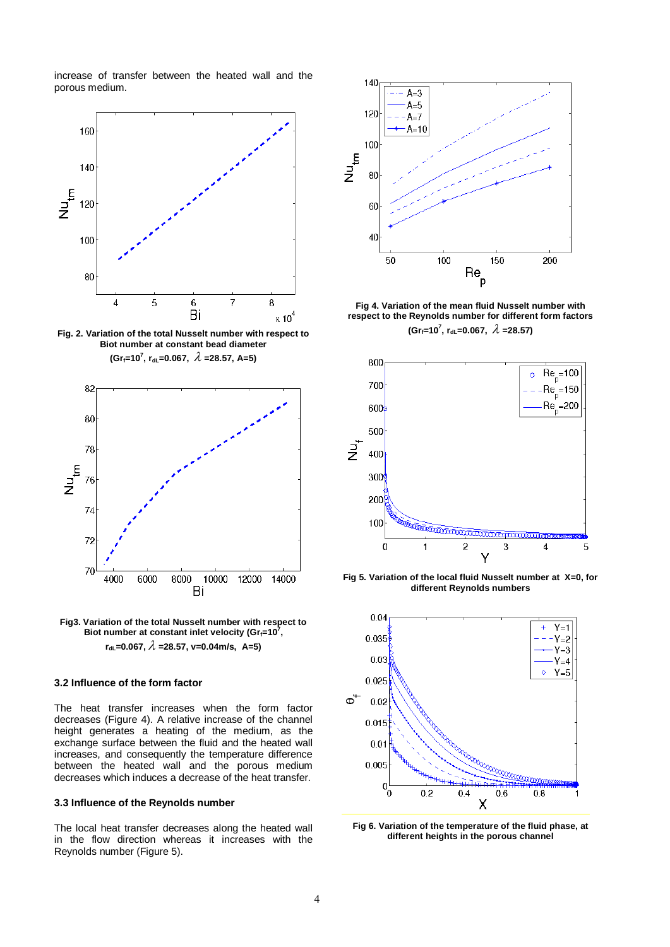increase of transfer between the heated wall and the porous medium.



**Fig. 2. Variation of the total Nusselt number with respect to Biot number at constant bead diameter (Grf=10<sup>7</sup> , rdL=0.067, =28.57, A=5)**



**Fig3. Variation of the total Nusselt number with respect to**  Biot number at constant inlet velocity (Gr $_f$ =10<sup>7</sup>, **rdL=0.067, =28.57, v=0.04m/s, A=5)**

# **3.2 Influence of the form factor**

The heat transfer increases when the form factor decreases (Figure 4). A relative increase of the channel height generates a heating of the medium, as the exchange surface between the fluid and the heated wall increases, and consequently the temperature difference between the heated wall and the porous medium decreases which induces a decrease of the heat transfer.

## **3.3 Influence of the Reynolds number**

The local heat transfer decreases along the heated wall in the flow direction whereas it increases with the Reynolds number (Figure 5).



**Fig 4. Variation of the mean fluid Nusselt number with respect to the Reynolds number for different form factors**  $(Gr_f=10^7, r_{dL}=0.067, \ \lambda=28.57)$ 



**Fig 5. Variation of the local fluid Nusselt number at X=0, for different Reynolds numbers**



**Fig 6. Variation of the temperature of the fluid phase, at different heights in the porous channel**